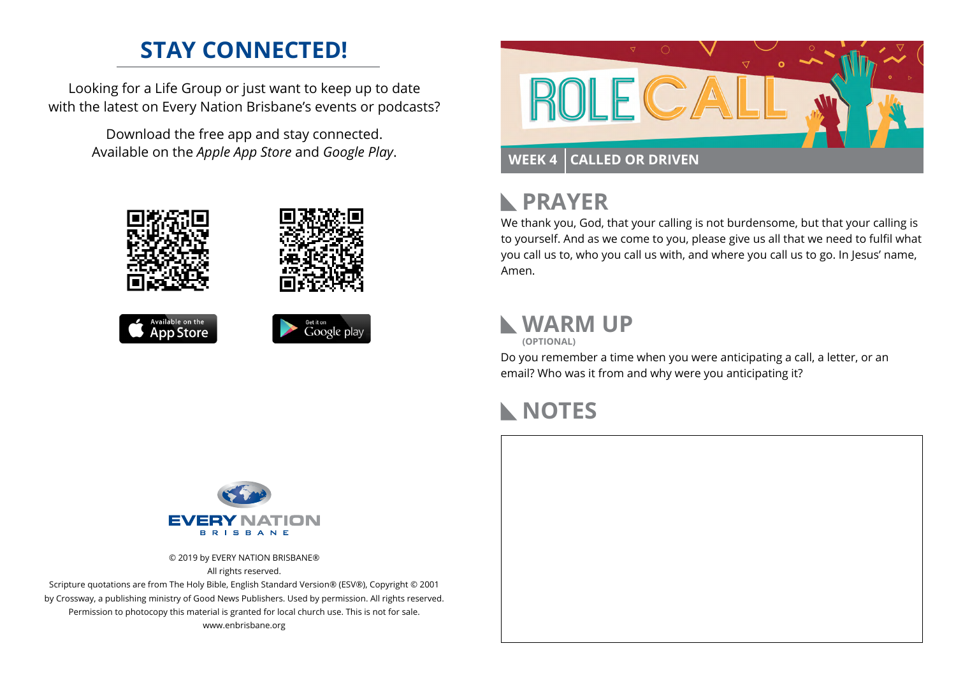# **STAY CONNECTED!**

Looking for a Life Group or just want to keep up to date with the latest on Every Nation Brisbane's events or podcasts?

> Download the free app and stay connected. Available on the *Apple App Store* and *Google Play*.





#### **PRAYER**  $\mathbb{R}$

We thank you, God, that your calling is not burdensome, but that your calling is to yourself. And as we come to you, please give us all that we need to fulfil what you call us to, who you call us with, and where you call us to go. In Jesus' name, Amen.

# **WARM UP**

**(OPTIONAL)**

Do you remember a time when you were anticipating a call, a letter, or an email? Who was it from and why were you anticipating it?

### **NOTES**



© 2019 by EVERY NATION BRISBANE® All rights reserved.

Scripture quotations are from The Holy Bible, English Standard Version® (ESV®), Copyright © 2001 by Crossway, a publishing ministry of Good News Publishers. Used by permission. All rights reserved. Permission to photocopy this material is granted for local church use. This is not for sale. www.enbrisbane.org